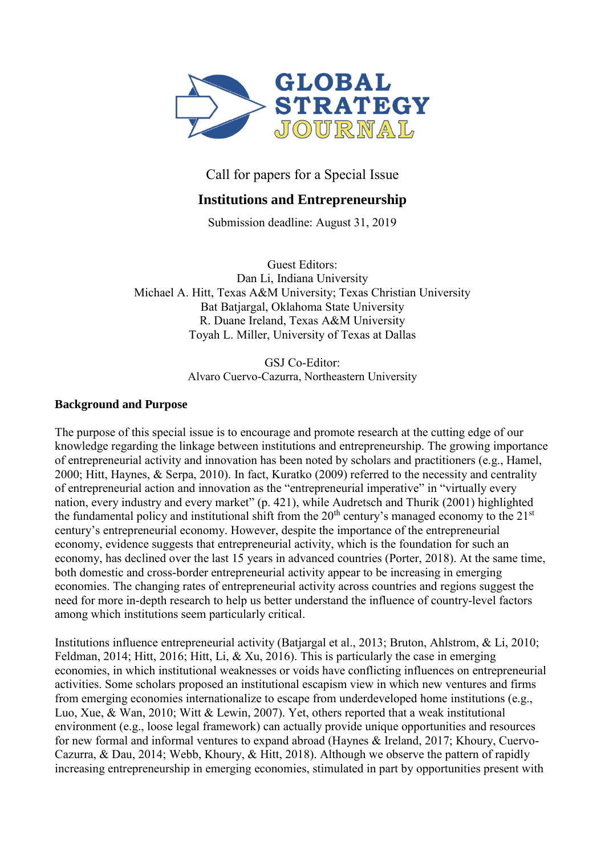

Call for papers for a Special Issue

# **Institutions and Entrepreneurship**

Submission deadline: August 31, 2019

Guest Editors: Dan Li, Indiana University Michael A. Hitt, Texas A&M University; Texas Christian University Bat Batjargal, Oklahoma State University R. Duane Ireland, Texas A&M University Toyah L. Miller, University of Texas at Dallas

> GSJ Co-Editor: Alvaro Cuervo-Cazurra, Northeastern University

#### **Background and Purpose**

The purpose of this special issue is to encourage and promote research at the cutting edge of our knowledge regarding the linkage between institutions and entrepreneurship. The growing importance of entrepreneurial activity and innovation has been noted by scholars and practitioners (e.g., Hamel, 2000; Hitt, Haynes, & Serpa, 2010). In fact, Kuratko (2009) referred to the necessity and centrality of entrepreneurial action and innovation as the "entrepreneurial imperative" in "virtually every nation, every industry and every market" (p. 421), while Audretsch and Thurik (2001) highlighted the fundamental policy and institutional shift from the  $20<sup>th</sup>$  century's managed economy to the  $21<sup>st</sup>$ century's entrepreneurial economy. However, despite the importance of the entrepreneurial economy, evidence suggests that entrepreneurial activity, which is the foundation for such an economy, has declined over the last 15 years in advanced countries (Porter, 2018). At the same time, both domestic and cross-border entrepreneurial activity appear to be increasing in emerging economies. The changing rates of entrepreneurial activity across countries and regions suggest the need for more in-depth research to help us better understand the influence of country-level factors among which institutions seem particularly critical.

Institutions influence entrepreneurial activity (Batjargal et al., 2013; Bruton, Ahlstrom, & Li, 2010; Feldman, 2014; Hitt, 2016; Hitt, Li, & Xu, 2016). This is particularly the case in emerging economies, in which institutional weaknesses or voids have conflicting influences on entrepreneurial activities. Some scholars proposed an institutional escapism view in which new ventures and firms from emerging economies internationalize to escape from underdeveloped home institutions (e.g., Luo, Xue, & Wan, 2010; Witt & Lewin, 2007). Yet, others reported that a weak institutional environment (e.g., loose legal framework) can actually provide unique opportunities and resources for new formal and informal ventures to expand abroad (Haynes & Ireland, 2017; Khoury, Cuervo-Cazurra, & Dau, 2014; Webb, Khoury, & Hitt, 2018). Although we observe the pattern of rapidly increasing entrepreneurship in emerging economies, stimulated in part by opportunities present with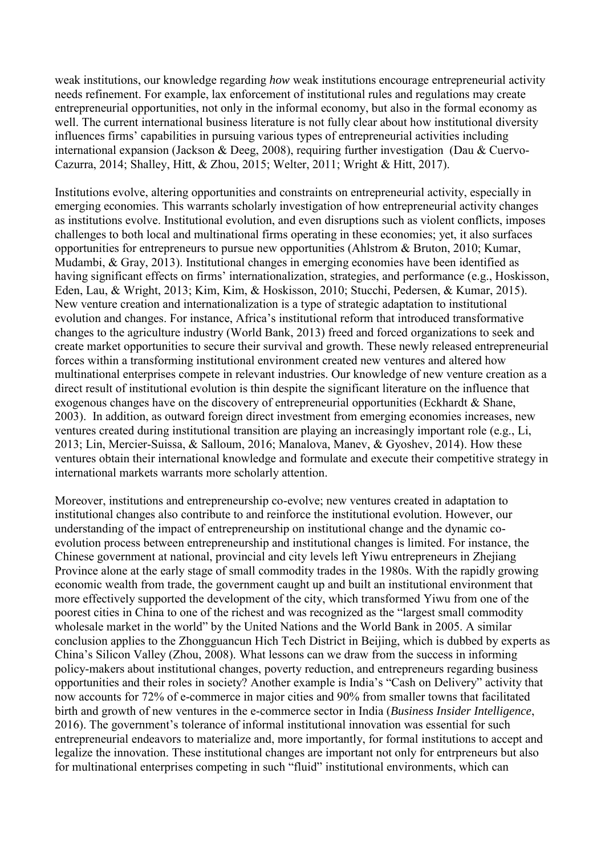weak institutions, our knowledge regarding *how* weak institutions encourage entrepreneurial activity needs refinement. For example, lax enforcement of institutional rules and regulations may create entrepreneurial opportunities, not only in the informal economy, but also in the formal economy as well. The current international business literature is not fully clear about how institutional diversity influences firms' capabilities in pursuing various types of entrepreneurial activities including international expansion (Jackson & Deeg, 2008), requiring further investigation (Dau & Cuervo-Cazurra, 2014; Shalley, Hitt, & Zhou, 2015; Welter, 2011; Wright & Hitt, 2017).

Institutions evolve, altering opportunities and constraints on entrepreneurial activity, especially in emerging economies. This warrants scholarly investigation of how entrepreneurial activity changes as institutions evolve. Institutional evolution, and even disruptions such as violent conflicts, imposes challenges to both local and multinational firms operating in these economies; yet, it also surfaces opportunities for entrepreneurs to pursue new opportunities (Ahlstrom & Bruton, 2010; Kumar, Mudambi, & Gray, 2013). Institutional changes in emerging economies have been identified as having significant effects on firms' internationalization, strategies, and performance (e.g., Hoskisson, Eden, Lau, & Wright, 2013; Kim, Kim, & Hoskisson, 2010; Stucchi, Pedersen, & Kumar, 2015). New venture creation and internationalization is a type of strategic adaptation to institutional evolution and changes. For instance, Africa's institutional reform that introduced transformative changes to the agriculture industry (World Bank, 2013) freed and forced organizations to seek and create market opportunities to secure their survival and growth. These newly released entrepreneurial forces within a transforming institutional environment created new ventures and altered how multinational enterprises compete in relevant industries. Our knowledge of new venture creation as a direct result of institutional evolution is thin despite the significant literature on the influence that exogenous changes have on the discovery of entrepreneurial opportunities (Eckhardt & Shane, 2003). In addition, as outward foreign direct investment from emerging economies increases, new ventures created during institutional transition are playing an increasingly important role (e.g., Li, 2013; Lin, Mercier-Suissa, & Salloum, 2016; Manalova, Manev, & Gyoshev, 2014). How these ventures obtain their international knowledge and formulate and execute their competitive strategy in international markets warrants more scholarly attention.

Moreover, institutions and entrepreneurship co-evolve; new ventures created in adaptation to institutional changes also contribute to and reinforce the institutional evolution. However, our understanding of the impact of entrepreneurship on institutional change and the dynamic coevolution process between entrepreneurship and institutional changes is limited. For instance, the Chinese government at national, provincial and city levels left Yiwu entrepreneurs in Zhejiang Province alone at the early stage of small commodity trades in the 1980s. With the rapidly growing economic wealth from trade, the government caught up and built an institutional environment that more effectively supported the development of the city, which transformed Yiwu from one of the poorest cities in China to one of the richest and was recognized as the "largest small commodity wholesale market in the world" by the United Nations and the World Bank in 2005. A similar conclusion applies to the Zhongguancun Hich Tech District in Beijing, which is dubbed by experts as China's Silicon Valley (Zhou, 2008). What lessons can we draw from the success in informing policy-makers about institutional changes, poverty reduction, and entrepreneurs regarding business opportunities and their roles in society? Another example is India's "Cash on Delivery" activity that now accounts for 72% of e-commerce in major cities and 90% from smaller towns that facilitated birth and growth of new ventures in the e-commerce sector in India (*Business Insider Intelligence*, 2016). The government's tolerance of informal institutional innovation was essential for such entrepreneurial endeavors to materialize and, more importantly, for formal institutions to accept and legalize the innovation. These institutional changes are important not only for entrpreneurs but also for multinational enterprises competing in such "fluid" institutional environments, which can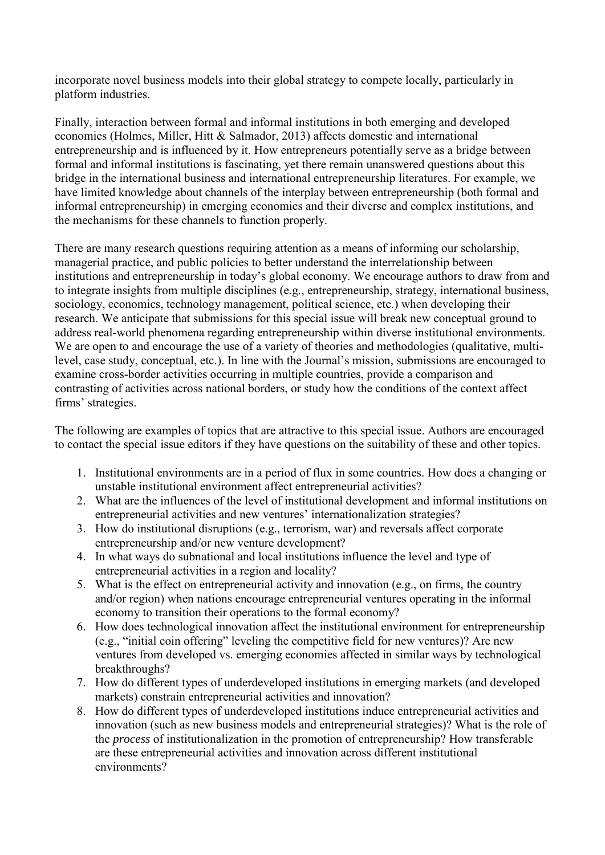incorporate novel business models into their global strategy to compete locally, particularly in platform industries.

Finally, interaction between formal and informal institutions in both emerging and developed economies (Holmes, Miller, Hitt & Salmador, 2013) affects domestic and international entrepreneurship and is influenced by it. How entrepreneurs potentially serve as a bridge between formal and informal institutions is fascinating, yet there remain unanswered questions about this bridge in the international business and international entrepreneurship literatures. For example, we have limited knowledge about channels of the interplay between entrepreneurship (both formal and informal entrepreneurship) in emerging economies and their diverse and complex institutions, and the mechanisms for these channels to function properly.

There are many research questions requiring attention as a means of informing our scholarship, managerial practice, and public policies to better understand the interrelationship between institutions and entrepreneurship in today's global economy. We encourage authors to draw from and to integrate insights from multiple disciplines (e.g., entrepreneurship, strategy, international business, sociology, economics, technology management, political science, etc.) when developing their research. We anticipate that submissions for this special issue will break new conceptual ground to address real-world phenomena regarding entrepreneurship within diverse institutional environments. We are open to and encourage the use of a variety of theories and methodologies (qualitative, multilevel, case study, conceptual, etc.). In line with the Journal's mission*,* submissions are encouraged to examine cross-border activities occurring in multiple countries, provide a comparison and contrasting of activities across national borders, or study how the conditions of the context affect firms' strategies.

The following are examples of topics that are attractive to this special issue. Authors are encouraged to contact the special issue editors if they have questions on the suitability of these and other topics.

- 1. Institutional environments are in a period of flux in some countries. How does a changing or unstable institutional environment affect entrepreneurial activities?
- 2. What are the influences of the level of institutional development and informal institutions on entrepreneurial activities and new ventures' internationalization strategies?
- 3. How do institutional disruptions (e.g., terrorism, war) and reversals affect corporate entrepreneurship and/or new venture development?
- 4. In what ways do subnational and local institutions influence the level and type of entrepreneurial activities in a region and locality?
- 5. What is the effect on entrepreneurial activity and innovation (e.g., on firms, the country and/or region) when nations encourage entrepreneurial ventures operating in the informal economy to transition their operations to the formal economy?
- 6. How does technological innovation affect the institutional environment for entrepreneurship (e.g., "initial coin offering" leveling the competitive field for new ventures)? Are new ventures from developed vs. emerging economies affected in similar ways by technological breakthroughs?
- 7. How do different types of underdeveloped institutions in emerging markets (and developed markets) constrain entrepreneurial activities and innovation?
- 8. How do different types of underdeveloped institutions induce entrepreneurial activities and innovation (such as new business models and entrepreneurial strategies)? What is the role of the *process* of institutionalization in the promotion of entrepreneurship? How transferable are these entrepreneurial activities and innovation across different institutional environments?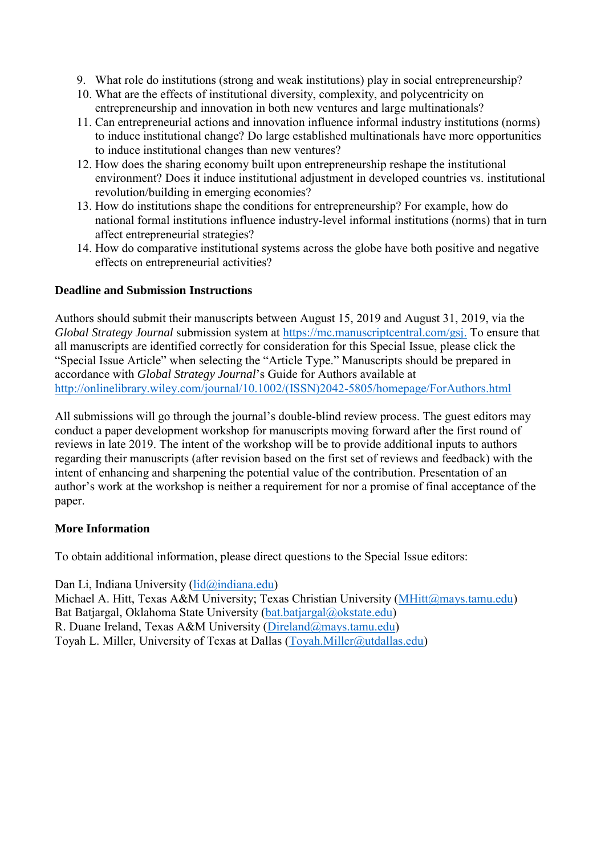- 9. What role do institutions (strong and weak institutions) play in social entrepreneurship?
- 10. What are the effects of institutional diversity, complexity, and polycentricity on entrepreneurship and innovation in both new ventures and large multinationals?
- 11. Can entrepreneurial actions and innovation influence informal industry institutions (norms) to induce institutional change? Do large established multinationals have more opportunities to induce institutional changes than new ventures?
- 12. How does the sharing economy built upon entrepreneurship reshape the institutional environment? Does it induce institutional adjustment in developed countries vs. institutional revolution/building in emerging economies?
- 13. How do institutions shape the conditions for entrepreneurship? For example, how do national formal institutions influence industry-level informal institutions (norms) that in turn affect entrepreneurial strategies?
- 14. How do comparative institutional systems across the globe have both positive and negative effects on entrepreneurial activities?

## **Deadline and Submission Instructions**

Authors should submit their manuscripts between August 15, 2019 and August 31, 2019, via the *Global Strategy Journal* submission system at [https://mc.manuscriptcentral.com/gsj.](https://mc.manuscriptcentral.com/gsj) To ensure that all manuscripts are identified correctly for consideration for this Special Issue, please click the "Special Issue Article" when selecting the "Article Type." Manuscripts should be prepared in accordance with *Global Strategy Journal*'s Guide for Authors available at [http://onlinelibrary.wiley.com/journal/10.1002/\(ISSN\)2042-5805/homepage/ForAuthors.html](http://onlinelibrary.wiley.com/journal/10.1002/(ISSN)2042-5805/homepage/ForAuthors.html) 

All submissions will go through the journal's double-blind review process. The guest editors may conduct a paper development workshop for manuscripts moving forward after the first round of reviews in late 2019. The intent of the workshop will be to provide additional inputs to authors regarding their manuscripts (after revision based on the first set of reviews and feedback) with the intent of enhancing and sharpening the potential value of the contribution. Presentation of an author's work at the workshop is neither a requirement for nor a promise of final acceptance of the paper.

### **More Information**

To obtain additional information, please direct questions to the Special Issue editors:

Dan Li, Indiana University [\(lid@indiana.edu\)](mailto:lid@indiana.edu)

Michael A. Hitt, Texas A&M University; Texas Christian University [\(MHitt@mays.tamu.edu\)](mailto:MHitt@mays.tamu.edu) Bat Batjargal, Oklahoma State University [\(bat.batjargal@okstate.edu\)](mailto:bat.batjargal@okstate.edu) R. Duane Ireland, Texas A&M University [\(Direland@mays.tamu.edu\)](mailto:DIreland@mays.tamu.edu) Toyah L. Miller, University of Texas at Dallas [\(Toyah.Miller@utdallas.edu\)](mailto:Toyah.Miller@utdallas.edu)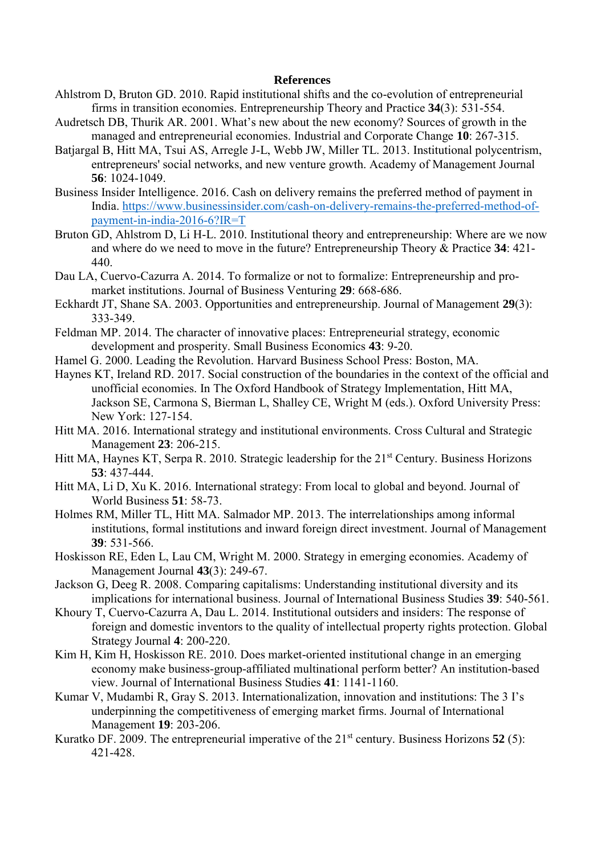#### **References**

- Ahlstrom D, Bruton GD. 2010. Rapid institutional shifts and the co-evolution of entrepreneurial firms in transition economies. Entrepreneurship Theory and Practice **34**(3): 531-554.
- Audretsch DB, Thurik AR. 2001. What's new about the new economy? Sources of growth in the managed and entrepreneurial economies. Industrial and Corporate Change **10**: 267-315.
- Batjargal B, Hitt MA, Tsui AS, Arregle J-L, Webb JW, Miller TL. 2013. Institutional polycentrism, entrepreneurs' social networks, and new venture growth. Academy of Management Journal **56**: 1024-1049.
- Business Insider Intelligence. 2016. Cash on delivery remains the preferred method of payment in India. https://www.businessinsider.com/cash-on-delivery-remains-the-preferred-method-ofpayment-in-india-2016-6?IR=T
- Bruton GD, Ahlstrom D, Li H-L. 2010. Institutional theory and entrepreneurship: Where are we now and where do we need to move in the future? Entrepreneurship Theory & Practice **34**: 421- 440.
- Dau LA, Cuervo-Cazurra A. 2014. To formalize or not to formalize: Entrepreneurship and promarket institutions. Journal of Business Venturing **29**: 668-686.
- Eckhardt JT, Shane SA. 2003. Opportunities and entrepreneurship. Journal of Management **29**(3): 333-349.
- Feldman MP. 2014. The character of innovative places: Entrepreneurial strategy, economic development and prosperity. Small Business Economics **43**: 9-20.
- Hamel G. 2000. Leading the Revolution. Harvard Business School Press: Boston, MA.
- Haynes KT, Ireland RD. 2017. Social construction of the boundaries in the context of the official and unofficial economies. In The Oxford Handbook of Strategy Implementation, Hitt MA, Jackson SE, Carmona S, Bierman L, Shalley CE, Wright M (eds.). Oxford University Press: New York: 127-154.
- Hitt MA. 2016. International strategy and institutional environments. Cross Cultural and Strategic Management **23**: 206-215.
- Hitt MA, Haynes KT, Serpa R. 2010. Strategic leadership for the 21<sup>st</sup> Century. Business Horizons **53**: 437-444.
- Hitt MA, Li D, Xu K. 2016. International strategy: From local to global and beyond. Journal of World Business **51**: 58-73.
- Holmes RM, Miller TL, Hitt MA. Salmador MP. 2013. The interrelationships among informal institutions, formal institutions and inward foreign direct investment. Journal of Management **39**: 531-566.
- Hoskisson RE, Eden L, Lau CM, Wright M. 2000. Strategy in emerging economies. Academy of Management Journal **43**(3): 249-67.
- Jackson G, Deeg R. 2008. Comparing capitalisms: Understanding institutional diversity and its implications for international business. Journal of International Business Studies **39**: 540-561.
- Khoury T, Cuervo-Cazurra A, Dau L. 2014. Institutional outsiders and insiders: The response of foreign and domestic inventors to the quality of intellectual property rights protection. Global Strategy Journal **4**: 200-220.
- Kim H, Kim H, Hoskisson RE. 2010. Does market-oriented institutional change in an emerging economy make business-group-affiliated multinational perform better? An institution-based view. Journal of International Business Studies **41**: 1141-1160.
- Kumar V, Mudambi R, Gray S. 2013. Internationalization, innovation and institutions: The 3 I's underpinning the competitiveness of emerging market firms. Journal of International Management **19**: 203-206.
- Kuratko DF. 2009. The entrepreneurial imperative of the 21<sup>st</sup> century. Business Horizons 52 (5): 421-428.